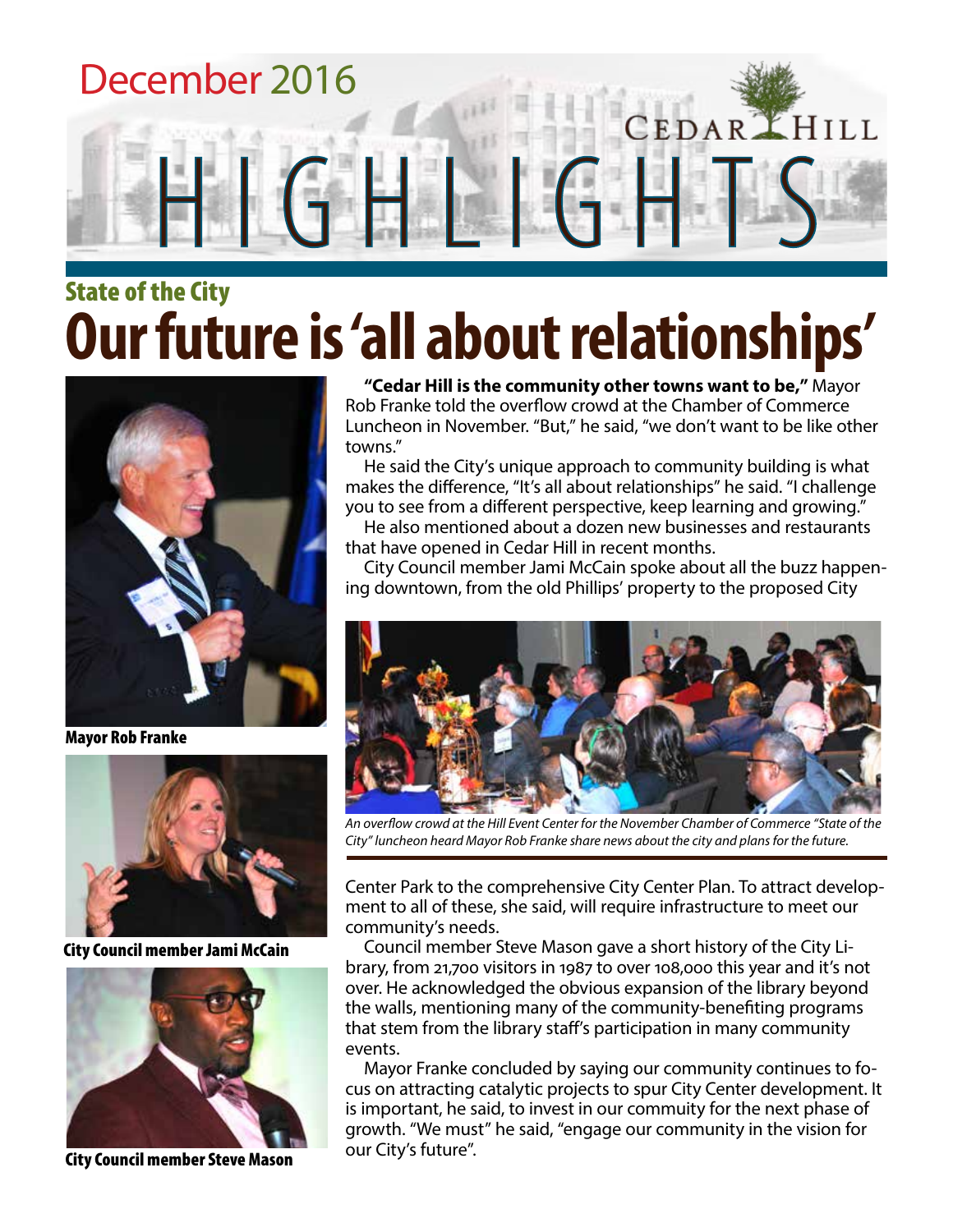

## State of the City **Our future is 'all about relationships'**



Mayor Rob Franke



City Council member Jami McCain



City Council member Steve Mason

**"Cedar Hill is the community other towns want to be,"** Mayor Rob Franke told the overflow crowd at the Chamber of Commerce Luncheon in November. "But," he said, "we don't want to be like other towns."

He said the City's unique approach to community building is what makes the difference, "It's all about relationships" he said. "I challenge you to see from a different perspective, keep learning and growing."

He also mentioned about a dozen new businesses and restaurants that have opened in Cedar Hill in recent months.

City Council member Jami McCain spoke about all the buzz happening downtown, from the old Phillips' property to the proposed City



*An overflow crowd at the Hill Event Center for the November Chamber of Commerce "State of the City" luncheon heard Mayor Rob Franke share news about the city and plans for the future.*

Center Park to the comprehensive City Center Plan. To attract development to all of these, she said, will require infrastructure to meet our community's needs.

Council member Steve Mason gave a short history of the City Library, from 21,700 visitors in 1987 to over 108,000 this year and it's not over. He acknowledged the obvious expansion of the library beyond the walls, mentioning many of the community-benefiting programs that stem from the library staff's participation in many community events.

Mayor Franke concluded by saying our community continues to focus on attracting catalytic projects to spur City Center development. It is important, he said, to invest in our commuity for the next phase of growth. "We must" he said, "engage our community in the vision for our City's future".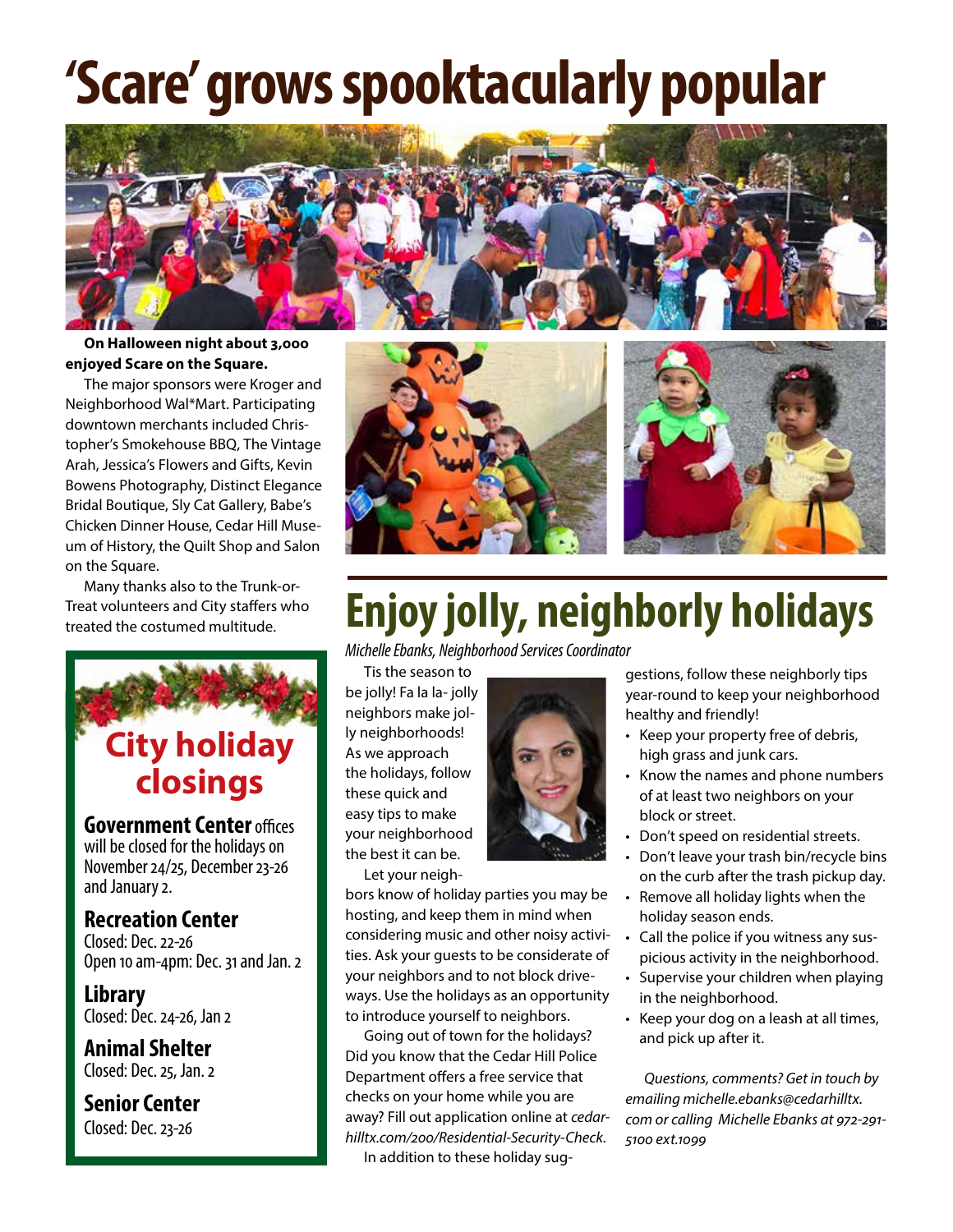## **'Scare' grows spooktacularly popular**



#### **On Halloween night about 3,000 enjoyed Scare on the Square.**

The major sponsors were Kroger and Neighborhood Wal\*Mart. Participating downtown merchants included Christopher's Smokehouse BBQ, The Vintage Arah, Jessica's Flowers and Gifts, Kevin Bowens Photography, Distinct Elegance Bridal Boutique, Sly Cat Gallery, Babe's Chicken Dinner House, Cedar Hill Museum of History, the Quilt Shop and Salon on the Square.

Many thanks also to the Trunk-or-Treat volunteers and City staffers who treated the costumed multitude.



will be closed for the holidays on November 24/25, December 23-26 and January 2.

### **Recreation Center**

Closed: Dec. 22-26 Open 10 am-4pm: Dec. 31 and Jan. 2

**Library** Closed: Dec. 24-26, Jan 2

**Animal Shelter** Closed: Dec. 25, Jan. 2

**Senior Center** Closed: Dec. 23-26



## **Enjoy jolly, neighborly holidays**

*Michelle Ebanks, Neighborhood Services Coordinator*

Tis the season to be jolly! Fa la la- jolly neighbors make jolly neighborhoods! As we approach the holidays, follow these quick and easy tips to make your neighborhood the best it can be. Let your neigh-



bors know of holiday parties you may be hosting, and keep them in mind when considering music and other noisy activities. Ask your guests to be considerate of your neighbors and to not block driveways. Use the holidays as an opportunity to introduce yourself to neighbors.

Going out of town for the holidays? Did you know that the Cedar Hill Police Department offers a free service that checks on your home while you are away? Fill out application online at *cedarhilltx.com/200/Residential-Security-Check.* In addition to these holiday suggestions, follow these neighborly tips year-round to keep your neighborhood healthy and friendly!

- Keep your property free of debris, high grass and junk cars.
- Know the names and phone numbers of at least two neighbors on your block or street.
- Don't speed on residential streets.
- Don't leave your trash bin/recycle bins on the curb after the trash pickup day.
- Remove all holiday lights when the holiday season ends.
- Call the police if you witness any suspicious activity in the neighborhood.
- Supervise your children when playing in the neighborhood.
- Keep your dog on a leash at all times, and pick up after it.

*Questions, comments? Get in touch by emailing michelle.ebanks@cedarhilltx. com or calling Michelle Ebanks at 972-291- 5100 ext.1099*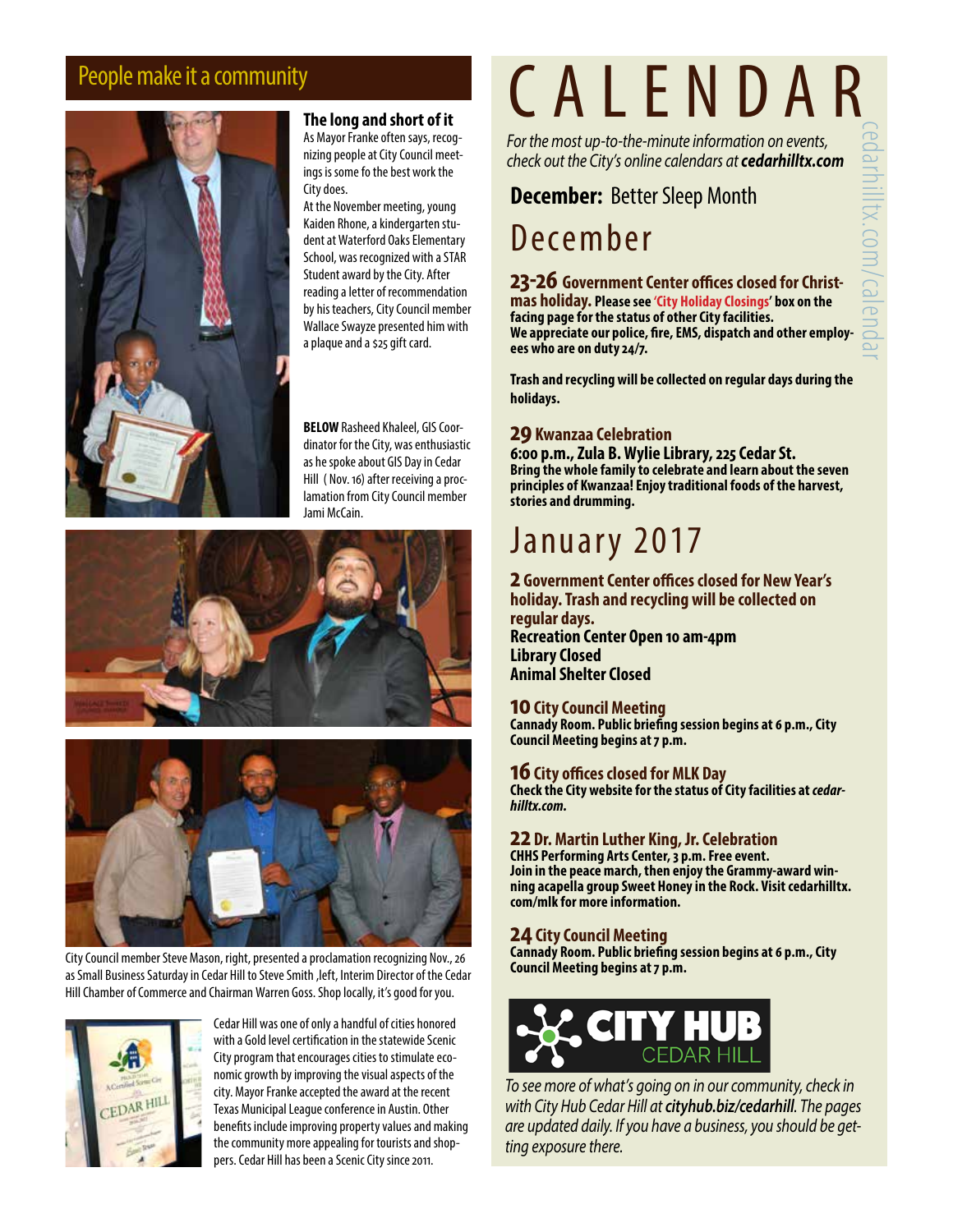

#### **The long and short of it**

As Mayor Franke often says, recognizing people at City Council meetings is some fo the best work the City does.

At the November meeting, young Kaiden Rhone, a kindergarten student at Waterford Oaks Elementary School, was recognized with a STAR Student award by the City. After reading a letter of recommendation by his teachers, City Council member Wallace Swayze presented him with a plaque and a \$25 gift card.

**BELOW** Rasheed Khaleel, GIS Coordinator for the City, was enthusiastic as he spoke about GIS Day in Cedar Hill ( Nov. 16) after receiving a proclamation from City Council member Jami McCain.





City Council member Steve Mason, right, presented a proclamation recognizing Nov., 26 as Small Business Saturday in Cedar Hill to Steve Smith ,left, Interim Director of the Cedar Hill Chamber of Commerce and Chairman Warren Goss. Shop locally, it's good for you.



Cedar Hill was one of only a handful of cities honored with a Gold level certification in the statewide Scenic City program that encourages cities to stimulate economic growth by improving the visual aspects of the city. Mayor Franke accepted the award at the recent Texas Municipal League conference in Austin. Other benefits include improving property values and making the community more appealing for tourists and shoppers. Cedar Hill has been a Scenic City since 2011.

# People make it a community<br> **CALENDAR**

*For the most up-to-the-minute information on events, check out the City's online calendars at cedarhilltx.com*

### **December:** Better Sleep Month

## December

**23-26 Government Center offices closed for Christmas holiday. Please see 'City Holiday Closings' box on the facing page for the status of other City facilities. We appreciate our police, fire, EMS, dispatch and other employees who are on duty 24/7.**

**Trash and recycling will be collected on regular days during the holidays.**

#### **29 Kwanzaa Celebration**

**6:00 p.m., Zula B. Wylie Library, 225 Cedar St. Bring the whole family to celebrate and learn about the seven principles of Kwanzaa! Enjoy traditional foods of the harvest, stories and drumming.**

## January 2017

**2 Government Center offices closed for New Year's holiday. Trash and recycling will be collected on regular days. Recreation Center Open 10 am-4pm Library Closed Animal Shelter Closed**

#### **10 City Council Meeting**

**Cannady Room. Public briefing session begins at 6 p.m., City Council Meeting begins at 7 p.m.**

#### **16 City offices closed for MLK Day**

**Check the City website for the status of City facilities at** *cedarhilltx.com.*

#### **22 Dr. Martin Luther King, Jr. Celebration**

**CHHS Performing Arts Center, 3 p.m. Free event. Join in the peace march, then enjoy the Grammy-award win- ning acapella group Sweet Honey in the Rock. Visit cedarhilltx. com/mlk for more information.**

#### **24 City Council Meeting**

**Cannady Room. Public briefing session begins at 6 p.m., City Council Meeting begins at 7 p.m.**



*To see more of what's going on in our community, check in with City Hub Cedar Hill at cityhub.biz/cedarhill. The pages are updated daily. If you have a business, you should be getting exposure there.*